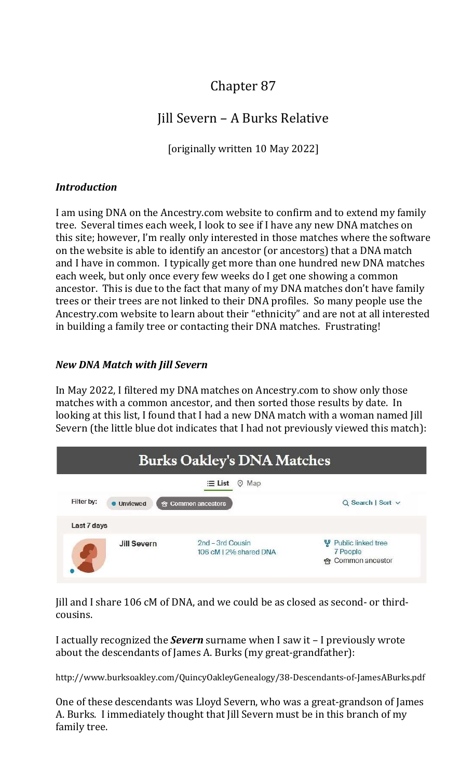# Chapter 87

# Jill Severn – A Burks Relative

[originally written 10 May 2022]

### **Introduction**

I am using DNA on the Ancestry.com website to confirm and to extend my family tree. Several times each week, I look to see if I have any new DNA matches on this site; however, I'm really only interested in those matches where the software on the website is able to identify an ancestor (or ancestors) that a DNA match and I have in common. I typically get more than one hundred new DNA matches each week, but only once every few weeks do I get one showing a common ancestor. This is due to the fact that many of my DNA matches don't have family trees or their trees are not linked to their DNA profiles. So many people use the Ancestry.com website to learn about their "ethnicity" and are not at all interested in building a family tree or contacting their DNA matches. Frustrating!

### New DNA Match with Jill Severn

In May 2022, I filtered my DNA matches on Ancestry.com to show only those matches with a common ancestor, and then sorted those results by date. In looking at this list, I found that I had a new DNA match with a woman named Jill Severn (the little blue dot indicates that I had not previously viewed this match):

| <b>Burks Oakley's DNA Matches</b><br>$\equiv$ List<br>$Q$ Map |                                            |                                                     |
|---------------------------------------------------------------|--------------------------------------------|-----------------------------------------------------|
|                                                               |                                            |                                                     |
| Last 7 days                                                   |                                            |                                                     |
| <b>Jill Severn</b>                                            | 2nd - 3rd Cousin<br>106 cM   2% shared DNA | Public linked tree<br>7 People<br>• Common ancestor |

Jill and I share 106 cM of DNA, and we could be as closed as second- or thirdcousins.

I actually recognized the **Severn** surname when I saw it – I previously wrote about the descendants of James A. Burks (my great-grandfather):

http://www.burksoakley.com/QuincyOakleyGenealogy/38-Descendants-of-JamesABurks.pdf

One of these descendants was Lloyd Severn, who was a great-grandson of James A. Burks. I immediately thought that Jill Severn must be in this branch of my family tree.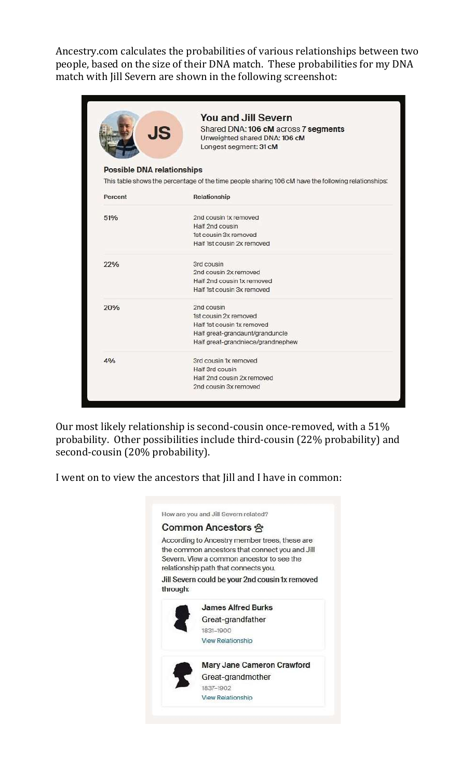Ancestry.com calculates the probabilities of various relationships between two people, based on the size of their DNA match. These probabilities for my DNA match with Jill Severn are shown in the following screenshot:

|                            | <b>You and Jill Severn</b>                                                                          |
|----------------------------|-----------------------------------------------------------------------------------------------------|
| <b>JS</b>                  | Shared DNA: 106 cM across 7 segments                                                                |
|                            | Unweighted shared DNA: 106 cM                                                                       |
|                            | Longest segment: 31 cM                                                                              |
| Possible DNA relationships |                                                                                                     |
|                            | This table shows the percentage of the time people sharing 106 cM have the following relationships: |
| Percent                    | Relationship                                                                                        |
| 51%                        | 2nd cousin 1x removed                                                                               |
|                            | Half 2nd cousin                                                                                     |
|                            | 1st cousin 3x removed                                                                               |
|                            | Half 1st cousin 2x removed                                                                          |
| 22%                        | 3rd cousin                                                                                          |
|                            | 2nd cousin 2x removed                                                                               |
|                            | Half 2nd cousin 1x removed                                                                          |
|                            | Half 1st cousin 3x removed                                                                          |
| 20%                        | 2nd cousin                                                                                          |
|                            | 1st cousin 2x removed                                                                               |
|                            | Half 1st cousin 1x removed                                                                          |
|                            | Half great-grandaunt/granduncle                                                                     |
|                            | Half great-grandniece/grandnephew                                                                   |
| 4%                         | 3rd cousin 1x removed                                                                               |
|                            | Half 3rd cousin                                                                                     |
|                            | Half 2nd cousin 2x removed                                                                          |

Our most likely relationship is second-cousin once-removed, with a 51% probability. Other possibilities include third-cousin (22% probability) and second-cousin (20% probability).

I went on to view the ancestors that Jill and I have in common:

|          | Common Ancestors 양                                                                                                                                                                                                                      |
|----------|-----------------------------------------------------------------------------------------------------------------------------------------------------------------------------------------------------------------------------------------|
| through: | According to Ancestry member trees, these are<br>the common ancestors that connect you and Jill<br>Severn. View a common ancestor to see the<br>relationship path that connects you.<br>Jill Severn could be your 2nd cousin 1x removed |
|          | <b>James Alfred Burks</b><br>Great-grandfather                                                                                                                                                                                          |
|          | 1831-1900<br><b>View Relationship</b>                                                                                                                                                                                                   |
|          | Mary Jane Cameron Crawford                                                                                                                                                                                                              |
|          | Great-grandmother                                                                                                                                                                                                                       |
|          | 1837-1902                                                                                                                                                                                                                               |
|          |                                                                                                                                                                                                                                         |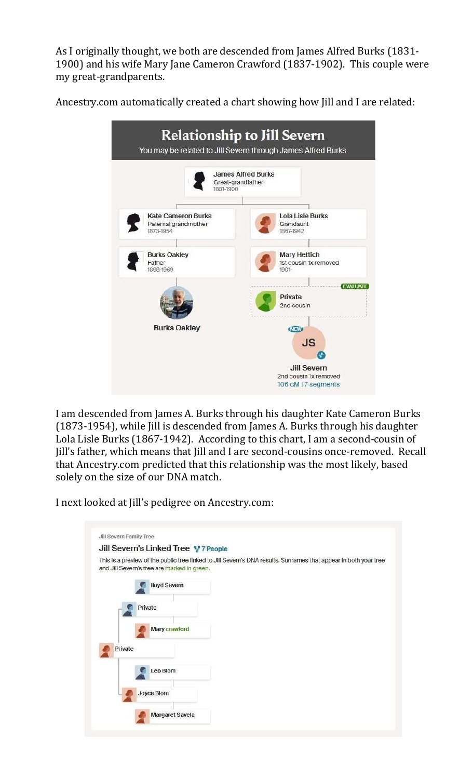As I originally thought, we both are descended from James Alfred Burks (1831- 1900) and his wife Mary Jane Cameron Crawford (1837-1902). This couple were my great-grandparents.

Ancestry.com automatically created a chart showing how Jill and I are related:



I am descended from James A. Burks through his daughter Kate Cameron Burks (1873-1954), while Jill is descended from James A. Burks through his daughter Lola Lisle Burks (1867-1942). According to this chart, I am a second-cousin of Jill's father, which means that Jill and I are second-cousins once-removed. Recall that Ancestry.com predicted that this relationship was the most likely, based solely on the size of our DNA match.

I next looked at Jill's pedigree on Ancestry.com:

| Jill Severn Family Tree                     |                                                                                                                  |
|---------------------------------------------|------------------------------------------------------------------------------------------------------------------|
| Jill Severn's Linked Tree 먷 7 People        |                                                                                                                  |
| and Jill Severn's tree are marked in green. | This is a preview of the public tree linked to Jill Severn's DNA results. Surnames that appear in both your tree |
| <b>Iloyd Severn</b>                         |                                                                                                                  |
| Private                                     |                                                                                                                  |
| Mary crawford                               |                                                                                                                  |
| Private                                     |                                                                                                                  |
| Leo Blom                                    |                                                                                                                  |
| Joyce Blom                                  |                                                                                                                  |
| <b>Margaret Savela</b>                      |                                                                                                                  |
|                                             |                                                                                                                  |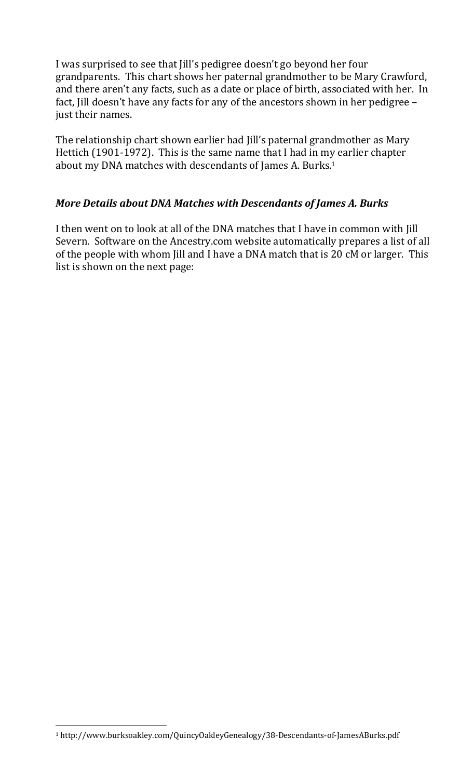I was surprised to see that Jill's pedigree doesn't go beyond her four grandparents. This chart shows her paternal grandmother to be Mary Crawford, and there aren't any facts, such as a date or place of birth, associated with her. In fact, Jill doesn't have any facts for any of the ancestors shown in her pedigree – just their names.

The relationship chart shown earlier had Jill's paternal grandmother as Mary Hettich (1901-1972). This is the same name that I had in my earlier chapter about my DNA matches with descendants of James A. Burks.<sup>1</sup>

### More Details about DNA Matches with Descendants of James A. Burks

I then went on to look at all of the DNA matches that I have in common with Jill Severn. Software on the Ancestry.com website automatically prepares a list of all of the people with whom Jill and I have a DNA match that is 20 cM or larger. This list is shown on the next page:

<sup>1</sup> http://www.burksoakley.com/QuincyOakleyGenealogy/38-Descendants-of-JamesABurks.pdf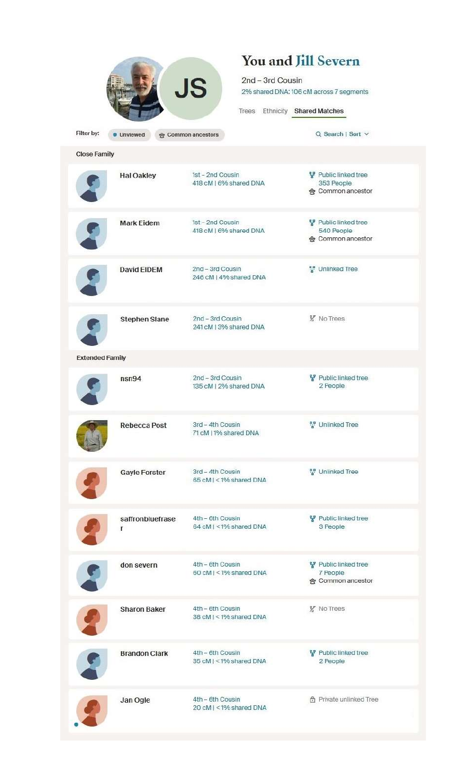|                        |                                                      | You and Jill Severn                         |                                                              |
|------------------------|------------------------------------------------------|---------------------------------------------|--------------------------------------------------------------|
|                        | 2nd - 3rd Cousin                                     |                                             |                                                              |
|                        | <b>JS</b><br>2% shared DNA: 106 cM across 7 segments |                                             |                                                              |
|                        |                                                      |                                             |                                                              |
|                        |                                                      |                                             | Trees Ethnicity Shared Matches                               |
| Filter by:             | <b>Unviewed</b>                                      | <b>&amp; Common ancestors</b>               | $Q$ Search   Sort $\vee$                                     |
| <b>Close Family</b>    |                                                      |                                             |                                                              |
|                        | <b>Hal Oakley</b>                                    | 1st - 2nd Cousin<br>418 cM   6% shared DNA  | Public linked tree<br>353 People<br><b>会 Common ancestor</b> |
|                        | <b>Mark Eidem</b>                                    | 1st - 2nd Cousin<br>418 cM   6% shared DNA  | Public linked tree<br>540 People<br><b>含 Common ancestor</b> |
|                        | <b>David EIDEM</b>                                   | 2nd - 3rd Cousin<br>246 cM   4% shared DNA  | " Unlinked Tree                                              |
|                        | <b>Stephen Slane</b>                                 | 2nd - 3rd Cousin<br>241 cM   3% shared DNA  | <b>y</b> No Trees                                            |
| <b>Extended Family</b> |                                                      |                                             |                                                              |
|                        | nsn94                                                | 2nd - 3rd Cousin<br>135 cM I 2% shared DNA  | Public linked tree<br>2 People                               |
|                        | Rebecca Post                                         | 3rd - 4th Cousin<br>71 cM   1% shared DNA   | "" Unlinked Tree                                             |
|                        | <b>Gayle Forster</b>                                 | 3rd - 4th Cousin<br>65 cM I < 1% shared DNA | " Unlinked Tree                                              |
|                        | saffronbluefrase<br>r                                | 4th - 6th Cousin<br>64 cM   <1% shared DNA  | Public linked tree<br>3 People                               |
|                        | don severn                                           | 4th - 6th Cousin<br>60 cM   < 1% shared DNA | Public linked tree<br>7 People<br>ge Common ancestor         |
|                        | <b>Sharon Baker</b>                                  | 4th - 6th Cousin<br>38 cM I < 1% shared DNA | y No Trees                                                   |
|                        | <b>Brandon Clark</b>                                 | 4th - 6th Cousin<br>35 cM I < 1% shared DNA | Public linked tree<br>2 People                               |
|                        | Jan Ogle                                             | 4th - 6th Cousin<br>20 cM   < 1% shared DNA | fh Private unlinked Tree                                     |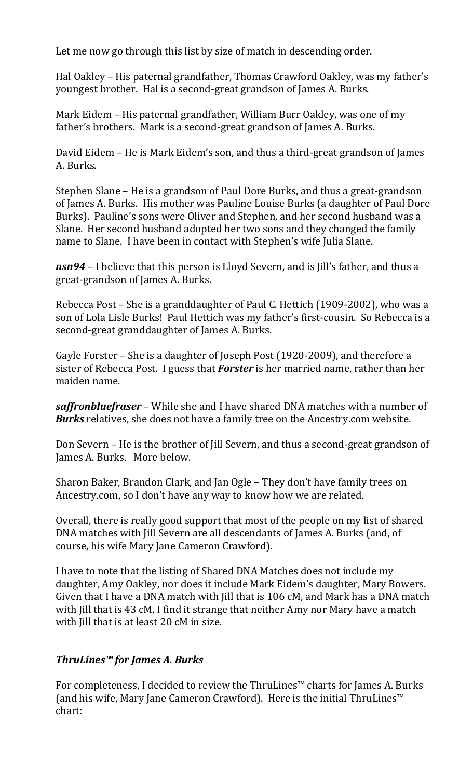Let me now go through this list by size of match in descending order.

Hal Oakley – His paternal grandfather, Thomas Crawford Oakley, was my father's youngest brother. Hal is a second-great grandson of James A. Burks.

Mark Eidem – His paternal grandfather, William Burr Oakley, was one of my father's brothers. Mark is a second-great grandson of James A. Burks.

David Eidem – He is Mark Eidem's son, and thus a third-great grandson of James A. Burks.

Stephen Slane – He is a grandson of Paul Dore Burks, and thus a great-grandson of James A. Burks. His mother was Pauline Louise Burks (a daughter of Paul Dore Burks). Pauline's sons were Oliver and Stephen, and her second husband was a Slane. Her second husband adopted her two sons and they changed the family name to Slane. I have been in contact with Stephen's wife Julia Slane.

nsn94 – I believe that this person is Lloyd Severn, and is Jill's father, and thus a great-grandson of James A. Burks.

Rebecca Post – She is a granddaughter of Paul C. Hettich (1909-2002), who was a son of Lola Lisle Burks! Paul Hettich was my father's first-cousin. So Rebecca is a second-great granddaughter of James A. Burks.

Gayle Forster – She is a daughter of Joseph Post (1920-2009), and therefore a sister of Rebecca Post. I guess that **Forster** is her married name, rather than her maiden name.

saffronbluefraser – While she and I have shared DNA matches with a number of Burks relatives, she does not have a family tree on the Ancestry.com website.

Don Severn – He is the brother of Jill Severn, and thus a second-great grandson of James A. Burks. More below.

Sharon Baker, Brandon Clark, and Jan Ogle – They don't have family trees on Ancestry.com, so I don't have any way to know how we are related.

Overall, there is really good support that most of the people on my list of shared DNA matches with Jill Severn are all descendants of James A. Burks (and, of course, his wife Mary Jane Cameron Crawford).

I have to note that the listing of Shared DNA Matches does not include my daughter, Amy Oakley, nor does it include Mark Eidem's daughter, Mary Bowers. Given that I have a DNA match with Jill that is 106 cM, and Mark has a DNA match with Jill that is 43 cM, I find it strange that neither Amy nor Mary have a match with Jill that is at least 20 cM in size.

## ThruLines™ for James A. Burks

For completeness, I decided to review the ThruLines™ charts for James A. Burks (and his wife, Mary Jane Cameron Crawford). Here is the initial ThruLines™ chart: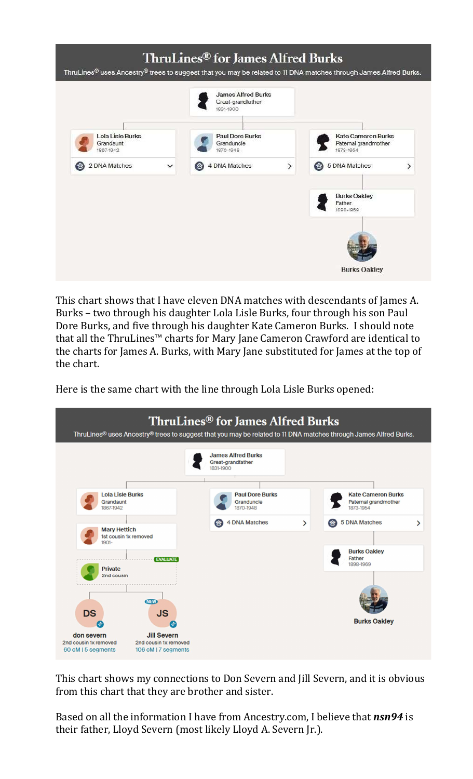

This chart shows that I have eleven DNA matches with descendants of James A. Burks – two through his daughter Lola Lisle Burks, four through his son Paul Dore Burks, and five through his daughter Kate Cameron Burks. I should note that all the ThruLines™ charts for Mary Jane Cameron Crawford are identical to the charts for James A. Burks, with Mary Jane substituted for James at the top of the chart.

Here is the same chart with the line through Lola Lisle Burks opened:



This chart shows my connections to Don Severn and Jill Severn, and it is obvious from this chart that they are brother and sister.

Based on all the information I have from Ancestry.com, I believe that nsn94 is their father, Lloyd Severn (most likely Lloyd A. Severn Jr.).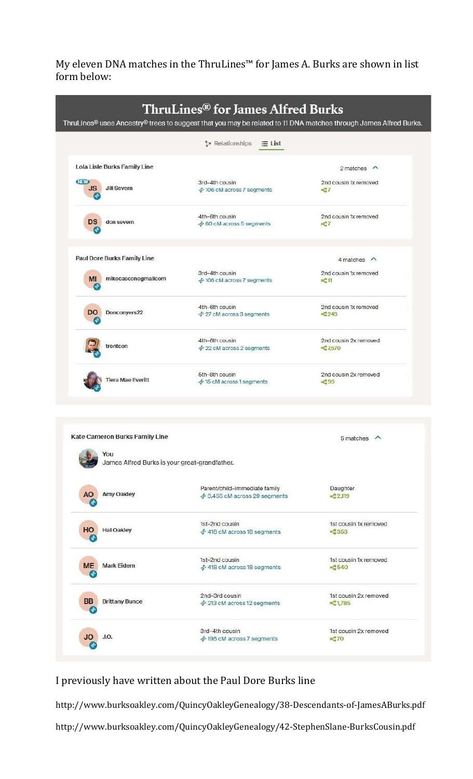My eleven DNA matches in the ThruLines™ for James A. Burks are shown in list form below:

|                         |                                    | ThruLines <sup>®</sup> for James Alfred Burks | ThruLines® uses Ancestry® trees to suggest that you may be related to 11 DNA matches through James Alfred Burks. |
|-------------------------|------------------------------------|-----------------------------------------------|------------------------------------------------------------------------------------------------------------------|
|                         |                                    | to Relationships<br>$=$ List                  |                                                                                                                  |
|                         | Lola Lisle Burks Family Line       |                                               | 2 matches $\land$                                                                                                |
| <b>NEW</b><br><b>JS</b> | <b>Jill Severn</b>                 | 3rd-4th cousin<br>♣ 106 cM across 7 segments  | 2nd cousin 1x removed<br>$P^2$                                                                                   |
| <b>DS</b>               | don severn                         | 4th-6th cousin<br>→ 60 cM across 5 segments   | 2nd cousin 1x removed<br>a <sub>0</sub> <sup>o</sup> 7                                                           |
|                         | <b>Paul Dore Burks Family Line</b> |                                               | $4$ matches $\land$                                                                                              |
| <b>MI</b><br>۱÷         | mikecasconegmailcom                | 3rd-4th cousin<br>† 106 cM across 7 segments  | 2nd cousin 1x removed<br>$E^2$ 11                                                                                |
| <b>DO</b>               | Donconvers22                       | 4th-6th cousin<br>→ 27 cM across 3 segments   | 2nd cousin 1x removed<br>$a_0^2$ 243                                                                             |
|                         | trentcon                           | 4th-6th cousin<br>→ 22 cM across 2 segments   | 2nd cousin 2x removed<br>$a_6^2$ 7,570                                                                           |
|                         | <b>Tiera Mae Everitt</b>           | 5th-8th cousin<br>→ 15 cM across 1 segments   | 2nd cousin 2x removed<br>$pc$ 99                                                                                 |

| You                                      | James Alfred Burks is your great-grandfather.                  |                                                 |
|------------------------------------------|----------------------------------------------------------------|-------------------------------------------------|
| Amy Oakley<br>A <sub>O</sub><br>÷        | Parent/child-immediate family<br>→ 3,455 cM across 29 segments | Daughter<br>B <sub>0</sub> <sup>o</sup> 2,119   |
| HO<br><b>Hal Oakley</b><br>◈             | 1st-2nd cousin<br>→ 418 cM across 18 segments                  | 1st cousin 1x removed<br>$n_a^2$ 353            |
| <b>ME</b><br><b>Mark Eidem</b><br>چ      | 1st-2nd cousin<br>→ 418 cM across 18 segments                  | 1st cousin 1x removed<br>$B = 540$              |
| <b>BB</b><br><b>Brittany Bunce</b><br>جہ | 2nd-3rd cousin<br>→ 213 cM across 12 segments                  | 1st cousin 2x removed<br>$\frac{10}{2}1.785$    |
| <b>JO</b><br>J.O.                        | 3rd-4th cousin<br>† 196 cM across 7 segments                   | 1st cousin 2x removed<br>$Ba$ <sup>e</sup> $70$ |

I previously have written about the Paul Dore Burks line

http://www.burksoakley.com/QuincyOakleyGenealogy/38-Descendants-of-JamesABurks.pdf http://www.burksoakley.com/QuincyOakleyGenealogy/42-StephenSlane-BurksCousin.pdf